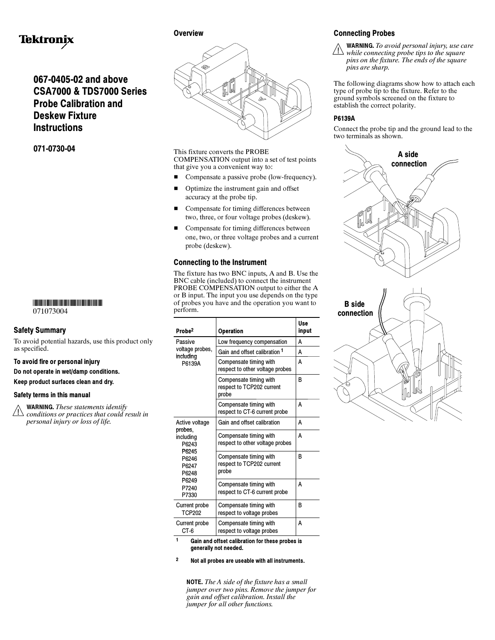# Tektronix

## 067-0405-02 and above CSA7000 & TDS7000 Series Probe Calibration and Deskew Fixture **Instructions**

071-0730-04

## -

071073004

## Safety Summary

To avoid potential hazards, use this product only as specified.

## To avoid fire or personal injury

Do not operate in wet/damp conditions.

Keep product surfaces clean and dry.

#### Safety terms in this manual

WARNING. These statements identify  $\sqrt{2}$  conditions or practices that could result in personal injury or loss of life.

**Overview** 



This fixture converts the PROBE COMPENSATION output into a set of test points that give you a convenient way to:

- Compensate a passive probe (low-frequency).
- $\blacksquare$  Optimize the instrument gain and offset accuracy at the probe tip.
- Compensate for timing differences between two, three, or four voltage probes (deskew).
- Compensate for timing differences between one, two, or three voltage probes and a current probe (deskew).

## Connecting to the Instrument

The fixture has two BNC inputs, A and B. Use the BNC cable (included) to connect the instrument PROBE COMPENSATION output to either the A or B input. The input you use depends on the type of probes you have and the operation you want to perform.

|  | Probe <sup>2</sup>                                                                  | Operation                                                    | Use<br>input |
|--|-------------------------------------------------------------------------------------|--------------------------------------------------------------|--------------|
|  | Passive<br>voltage probes,<br>including<br>P6139A                                   | Low frequency compensation                                   | А            |
|  |                                                                                     | Gain and offset calibration 1                                | А            |
|  |                                                                                     | Compensate timing with<br>respect to other voltage probes    | A            |
|  |                                                                                     | Compensate timing with<br>respect to TCP202 current<br>probe | В            |
|  |                                                                                     | Compensate timing with<br>respect to CT-6 current probe      | А            |
|  | Active voltage<br>probes,<br>including<br>P6243<br>P6245<br>P6246<br>P6247<br>P6248 | Gain and offset calibration                                  | А            |
|  |                                                                                     | Compensate timing with<br>respect to other voltage probes    | A            |
|  |                                                                                     | Compensate timing with<br>respect to TCP202 current<br>probe | B            |
|  | P6249<br>P7240<br>P7330                                                             | Compensate timing with<br>respect to CT-6 current probe      | А            |
|  | <b>Current probe</b><br>TCP202                                                      | Compensate timing with<br>respect to voltage probes          | B            |
|  | <b>Current probe</b><br>CT-6                                                        | Compensate timing with<br>respect to voltage probes          | A            |
|  | 1.<br>Calgard affaat selikustian fau thaas ni                                       |                                                              |              |

iain and offset calibration for these probes is generally not needed.

<sup>2</sup> Not all probes are useable with all instruments.

NOTE. The A side of the fixture has a small jumper over two pins. Remove the jumper for gain and offset calibration. Install the jumper for all other functions.

## Connecting Probes

WARNING. To avoid personal injury, use care  $\sqrt{1}$ while connecting probe tips to the square pins on the fixture. The ends of the square pins are sharp.

The following diagrams show how to attach each type of probe tip to the fixture. Refer to the ground symbols screened on the fixture to establish the correct polarity.

## P6139A

Connect the probe tip and the ground lead to the two terminals as shown.